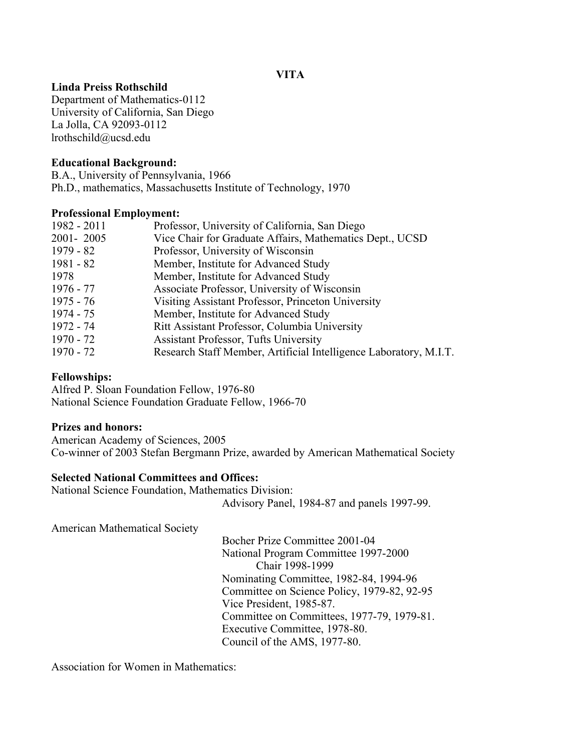# **VITA**

# **Linda Preiss Rothschild**

Department of Mathematics-0112 University of California, San Diego La Jolla, CA 92093-0112 lrothschild@ucsd.edu

## **Educational Background:**

B.A., University of Pennsylvania, 1966 Ph.D., mathematics, Massachusetts Institute of Technology, 1970

### **Professional Employment:**

| Professor, University of California, San Diego                    |
|-------------------------------------------------------------------|
| Vice Chair for Graduate Affairs, Mathematics Dept., UCSD          |
| Professor, University of Wisconsin                                |
| Member, Institute for Advanced Study                              |
| Member, Institute for Advanced Study                              |
| Associate Professor, University of Wisconsin                      |
| Visiting Assistant Professor, Princeton University                |
| Member, Institute for Advanced Study                              |
| Ritt Assistant Professor, Columbia University                     |
| <b>Assistant Professor, Tufts University</b>                      |
| Research Staff Member, Artificial Intelligence Laboratory, M.I.T. |
|                                                                   |

### **Fellowships:**

Alfred P. Sloan Foundation Fellow, 1976-80 National Science Foundation Graduate Fellow, 1966-70

### **Prizes and honors:**

American Academy of Sciences, 2005 Co-winner of 2003 Stefan Bergmann Prize, awarded by American Mathematical Society

#### **Selected National Committees and Offices:**

National Science Foundation, Mathematics Division: Advisory Panel, 1984-87 and panels 1997-99.

American Mathematical Society

Bocher Prize Committee 2001-04 National Program Committee 1997-2000 Chair 1998-1999 Nominating Committee, 1982-84, 1994-96 Committee on Science Policy, 1979-82, 92-95 Vice President, 1985-87. Committee on Committees, 1977-79, 1979-81. Executive Committee, 1978-80. Council of the AMS, 1977-80.

Association for Women in Mathematics: